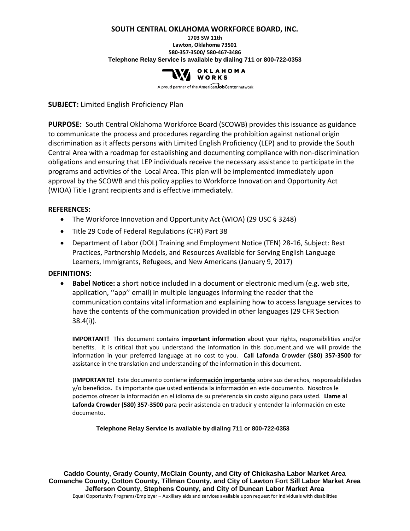#### **SOUTH CENTRAL OKLAHOMA WORKFORCE BOARD, INC.**

**1703 SW 11th Lawton, Oklahoma 73501 580-357-3500/ 580-467-3486 Telephone Relay Service is available by dialing 711 or 800-722-0353**



A proud partner of the AmericanJobCenter network

**SUBJECT:** Limited English Proficiency Plan

**PURPOSE:** South Central Oklahoma Workforce Board (SCOWB) provides this issuance as guidance to communicate the process and procedures regarding the prohibition against national origin discrimination as it affects persons with Limited English Proficiency (LEP) and to provide the South Central Area with a roadmap for establishing and documenting compliance with non-discrimination obligations and ensuring that LEP individuals receive the necessary assistance to participate in the programs and activities of the Local Area. This plan will be implemented immediately upon approval by the SCOWB and this policy applies to Workforce Innovation and Opportunity Act (WIOA) Title I grant recipients and is effective immediately.

### **REFERENCES:**

- The Workforce Innovation and Opportunity Act (WIOA) (29 USC § 3248)
- Title 29 Code of Federal Regulations (CFR) Part 38
- Department of Labor (DOL) Training and Employment Notice (TEN) 28-16, Subject: Best Practices, Partnership Models, and Resources Available for Serving English Language Learners, Immigrants, Refugees, and New Americans (January 9, 2017)

### **DEFINITIONS:**

• **Babel Notice:** a short notice included in a document or electronic medium (e.g. web site, application, ''app'' email) in multiple languages informing the reader that the communication contains vital information and explaining how to access language services to have the contents of the communication provided in other languages (29 CFR Section 38.4(i)).

**IMPORTANT!** This document contains **important information** about your rights, responsibilities and/or benefits. It is critical that you understand the information in this document,and we will provide the information in your preferred language at no cost to you. **Call Lafonda Crowder (580) 357-3500** for assistance in the translation and understanding of the information in this document.

**¡IMPORTANTE!** Este documento contiene **información importante** sobre sus derechos, responsabilidades y/o beneficios. Es importante que usted entienda la información en este documento. Nosotros le podemos ofrecer la información en el idioma de su preferencia sin costo alguno para usted. **Llame al Lafonda Crowder (580) 357-3500** para pedir asistencia en traducir y entender la información en este documento.

**Telephone Relay Service is available by dialing 711 or 800-722-0353**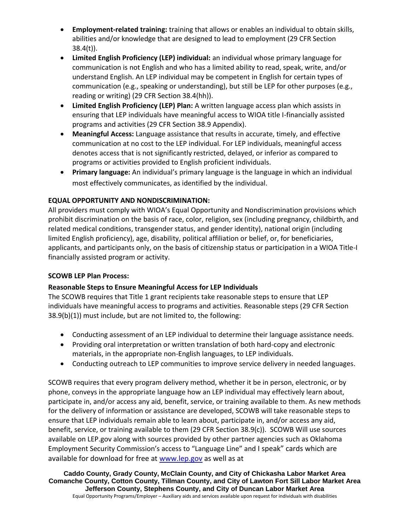- **Employment-related training:** training that allows or enables an individual to obtain skills, abilities and/or knowledge that are designed to lead to employment (29 CFR Section 38.4(t)).
- **Limited English Proficiency (LEP) individual:** an individual whose primary language for communication is not English and who has a limited ability to read, speak, write, and/or understand English. An LEP individual may be competent in English for certain types of communication (e.g., speaking or understanding), but still be LEP for other purposes (e.g., reading or writing) (29 CFR Section 38.4(hh)).
- **Limited English Proficiency (LEP) Plan:** A written language access plan which assists in ensuring that LEP individuals have meaningful access to WIOA title I-financially assisted programs and activities (29 CFR Section 38.9 Appendix).
- **Meaningful Access:** Language assistance that results in accurate, timely, and effective communication at no cost to the LEP individual. For LEP individuals, meaningful access denotes access that is not significantly restricted, delayed, or inferior as compared to programs or activities provided to English proficient individuals.
- **Primary language:** An individual's primary language is the language in which an individual most effectively communicates, as identified by the individual.

# **EQUAL OPPORTUNITY AND NONDISCRIMINATION:**

All providers must comply with WIOA's Equal Opportunity and Nondiscrimination provisions which prohibit discrimination on the basis of race, color, religion, sex (including pregnancy, childbirth, and related medical conditions, transgender status, and gender identity), national origin (including limited English proficiency), age, disability, political affiliation or belief, or, for beneficiaries, applicants, and participants only, on the basis of citizenship status or participation in a WIOA Title-I financially assisted program or activity.

## **SCOWB LEP Plan Process:**

## **Reasonable Steps to Ensure Meaningful Access for LEP Individuals**

The SCOWB requires that Title 1 grant recipients take reasonable steps to ensure that LEP individuals have meaningful access to programs and activities. Reasonable steps (29 CFR Section 38.9(b)(1)) must include, but are not limited to, the following:

- Conducting assessment of an LEP individual to determine their language assistance needs.
- Providing oral interpretation or written translation of both hard-copy and electronic materials, in the appropriate non-English languages, to LEP individuals.
- Conducting outreach to LEP communities to improve service delivery in needed languages.

SCOWB requires that every program delivery method, whether it be in person, electronic, or by phone, conveys in the appropriate language how an LEP individual may effectively learn about, participate in, and/or access any aid, benefit, service, or training available to them. As new methods for the delivery of information or assistance are developed, SCOWB will take reasonable steps to ensure that LEP individuals remain able to learn about, participate in, and/or access any aid, benefit, service, or training available to them (29 CFR Section 38.9(c)). SCOWB Will use sources available on LEP.gov along with sources provided by other partner agencies such as Oklahoma Employment Security Commission's access to "Language Line" and I speak" cards which are available for download for free at [www.lep.gov](http://www.lep.gov/) as well as at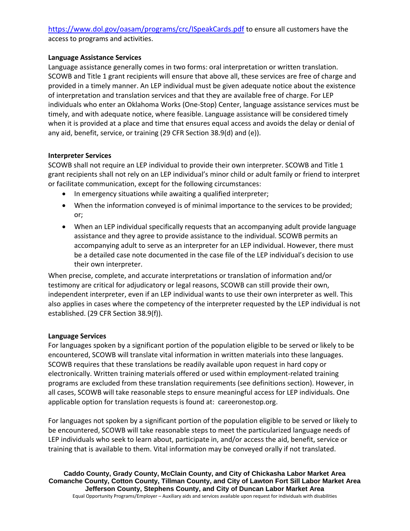# <https://www.dol.gov/oasam/programs/crc/ISpeakCards.pdf> to ensure all customers have the access to programs and activities.

### **Language Assistance Services**

Language assistance generally comes in two forms: oral interpretation or written translation. SCOWB and Title 1 grant recipients will ensure that above all, these services are free of charge and provided in a timely manner. An LEP individual must be given adequate notice about the existence of interpretation and translation services and that they are available free of charge. For LEP individuals who enter an Oklahoma Works (One-Stop) Center, language assistance services must be timely, and with adequate notice, where feasible. Language assistance will be considered timely when it is provided at a place and time that ensures equal access and avoids the delay or denial of any aid, benefit, service, or training (29 CFR Section 38.9(d) and (e)).

### **Interpreter Services**

SCOWB shall not require an LEP individual to provide their own interpreter. SCOWB and Title 1 grant recipients shall not rely on an LEP individual's minor child or adult family or friend to interpret or facilitate communication, except for the following circumstances:

- In emergency situations while awaiting a qualified interpreter;
- When the information conveyed is of minimal importance to the services to be provided; or;
- When an LEP individual specifically requests that an accompanying adult provide language assistance and they agree to provide assistance to the individual. SCOWB permits an accompanying adult to serve as an interpreter for an LEP individual. However, there must be a detailed case note documented in the case file of the LEP individual's decision to use their own interpreter.

When precise, complete, and accurate interpretations or translation of information and/or testimony are critical for adjudicatory or legal reasons, SCOWB can still provide their own, independent interpreter, even if an LEP individual wants to use their own interpreter as well. This also applies in cases where the competency of the interpreter requested by the LEP individual is not established. (29 CFR Section 38.9(f)).

## **Language Services**

For languages spoken by a significant portion of the population eligible to be served or likely to be encountered, SCOWB will translate vital information in written materials into these languages. SCOWB requires that these translations be readily available upon request in hard copy or electronically. Written training materials offered or used within employment-related training programs are excluded from these translation requirements (see definitions section). However, in all cases, SCOWB will take reasonable steps to ensure meaningful access for LEP individuals. One applicable option for translation requests is found at: careeronestop.org.

For languages not spoken by a significant portion of the population eligible to be served or likely to be encountered, SCOWB will take reasonable steps to meet the particularized language needs of LEP individuals who seek to learn about, participate in, and/or access the aid, benefit, service or training that is available to them. Vital information may be conveyed orally if not translated.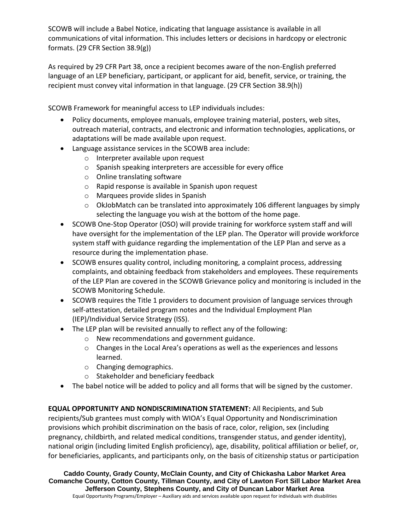SCOWB will include a Babel Notice, indicating that language assistance is available in all communications of vital information. This includes letters or decisions in hardcopy or electronic formats. (29 CFR Section 38.9(g))

As required by 29 CFR Part 38, once a recipient becomes aware of the non-English preferred language of an LEP beneficiary, participant, or applicant for aid, benefit, service, or training, the recipient must convey vital information in that language. (29 CFR Section 38.9(h))

SCOWB Framework for meaningful access to LEP individuals includes:

- Policy documents, employee manuals, employee training material, posters, web sites, outreach material, contracts, and electronic and information technologies, applications, or adaptations will be made available upon request.
- Language assistance services in the SCOWB area include:
	- o Interpreter available upon request
	- o Spanish speaking interpreters are accessible for every office
	- o Online translating software
	- o Rapid response is available in Spanish upon request
	- o Marquees provide slides in Spanish
	- $\circ$  OkJobMatch can be translated into approximately 106 different languages by simply selecting the language you wish at the bottom of the home page.
- SCOWB One-Stop Operator (OSO) will provide training for workforce system staff and will have oversight for the implementation of the LEP plan. The Operator will provide workforce system staff with guidance regarding the implementation of the LEP Plan and serve as a resource during the implementation phase.
- SCOWB ensures quality control, including monitoring, a complaint process, addressing complaints, and obtaining feedback from stakeholders and employees. These requirements of the LEP Plan are covered in the SCOWB Grievance policy and monitoring is included in the SCOWB Monitoring Schedule.
- SCOWB requires the Title 1 providers to document provision of language services through self-attestation, detailed program notes and the Individual Employment Plan (IEP)/Individual Service Strategy (ISS).
- The LEP plan will be revisited annually to reflect any of the following:
	- o New recommendations and government guidance.
	- $\circ$  Changes in the Local Area's operations as well as the experiences and lessons learned.
	- o Changing demographics.
	- o Stakeholder and beneficiary feedback
- The babel notice will be added to policy and all forms that will be signed by the customer.

**EQUAL OPPORTUNITY AND NONDISCRIMINATION STATEMENT:** All Recipients, and Sub recipients/Sub grantees must comply with WIOA's Equal Opportunity and Nondiscrimination provisions which prohibit discrimination on the basis of race, color, religion, sex (including pregnancy, childbirth, and related medical conditions, transgender status, and gender identity), national origin (including limited English proficiency), age, disability, political affiliation or belief, or, for beneficiaries, applicants, and participants only, on the basis of citizenship status or participation